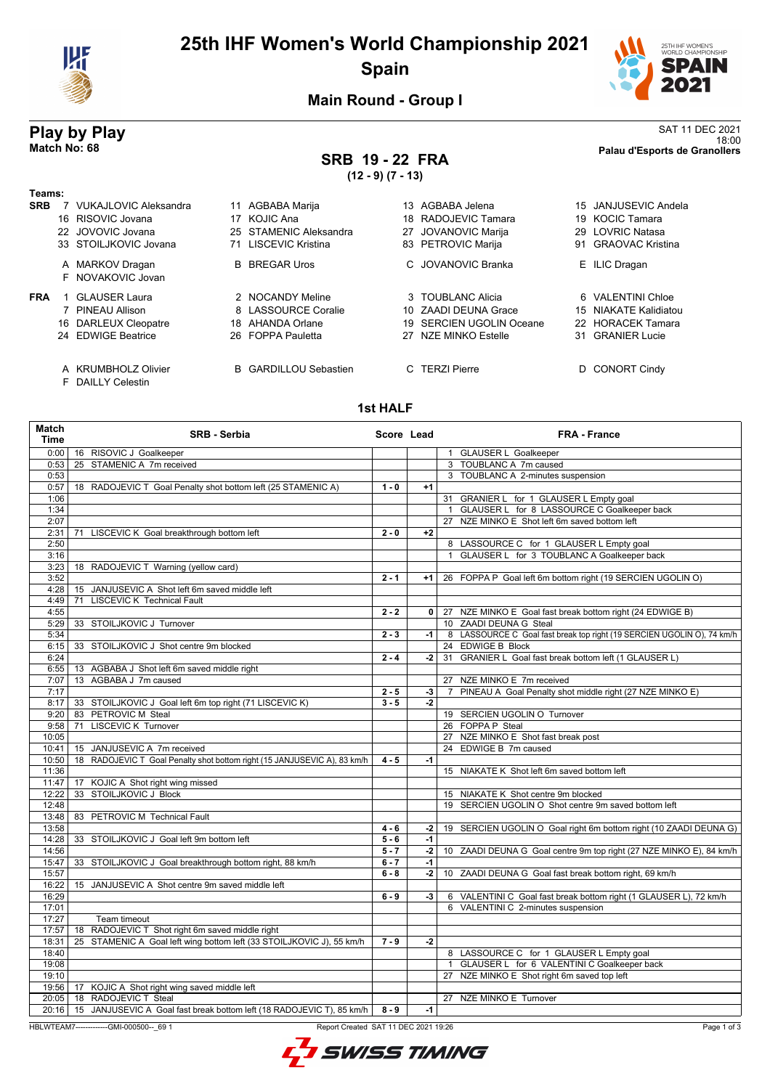

# **25th IHF Women's World Championship 2021 Spain**



18:00 **Match No: 68 Palau d'Esports de Granollers**

**Main Round - Group I**

# **Play by Play**<br>Match No: 68<br>Palau d'Esports de Granollers

# **SRB 19 - 22 FRA**

**(12 - 9) (7 - 13)**

| Teams:<br><b>SRB</b> | <b>VUKAJLOVIC Aleksandra</b><br>16 RISOVIC Jovana<br>22 JOVOVIC Jovana<br>33 STOILJKOVIC Jovana | 11<br>17<br>25<br>71 | AGBABA Marija<br>KOJIC Ana<br><b>STAMENIC Aleksandra</b><br>LISCEVIC Kristina | 13.<br>18. | AGBABA Jelena<br>RADOJEVIC Tamara<br>27 JOVANOVIC Marija<br>83 PETROVIC Marija             | 19<br>29<br>91         | 15 JANJUSEVIC Andela<br><b>KOCIC Tamara</b><br><b>LOVRIC Natasa</b><br><b>GRAOVAC Kristina</b>       |
|----------------------|-------------------------------------------------------------------------------------------------|----------------------|-------------------------------------------------------------------------------|------------|--------------------------------------------------------------------------------------------|------------------------|------------------------------------------------------------------------------------------------------|
|                      | A MARKOV Dragan<br>F NOVAKOVIC Jovan                                                            | B.                   | <b>BREGAR Uros</b>                                                            |            | C. JOVANOVIC Branka                                                                        |                        | E ILIC Dragan                                                                                        |
| <b>FRA</b>           | <b>GLAUSER Laura</b><br>PINEAU Allison<br>16 DARLEUX Cleopatre<br>24 EDWIGE Beatrice            | 18.                  | 2 NOCANDY Meline<br>8 LASSOURCE Coralie<br>AHANDA Orlane<br>26 FOPPA Pauletta | 19         | 3 TOUBLANC Alicia<br>10 ZAADI DEUNA Grace<br>SERCIEN UGOLIN Oceane<br>27 NZE MINKO Estelle | 6.<br>15<br>22.<br>31. | <b>VALENTINI Chloe</b><br><b>NIAKATE Kalidiatou</b><br><b>HORACEK Tamara</b><br><b>GRANIER Lucie</b> |
|                      | A KRUMBHOLZ Olivier<br>F DAILLY Celestin                                                        |                      | <b>B</b> GARDILLOU Sebastien                                                  |            | <b>TERZI Pierre</b>                                                                        | D.                     | <b>CONORT Cindy</b>                                                                                  |

### **1st HALF**

| <b>Match</b><br><b>Time</b> | <b>SRB - Serbia</b>                                                           | Score Lead |      | <b>FRA - France</b>                                                    |
|-----------------------------|-------------------------------------------------------------------------------|------------|------|------------------------------------------------------------------------|
|                             | 0:00   16 RISOVIC J Goalkeeper                                                |            |      | 1 GLAUSER L Goalkeeper                                                 |
| 0:53                        | 25 STAMENIC A 7m received                                                     |            |      | 3 TOUBLANC A 7m caused                                                 |
| 0:53                        |                                                                               |            |      | 3 TOUBLANC A 2-minutes suspension                                      |
| 0:57                        | 18 RADOJEVIC T Goal Penalty shot bottom left (25 STAMENIC A)                  | $1 - 0$    | $+1$ |                                                                        |
| 1:06                        |                                                                               |            |      | 31 GRANIER L for 1 GLAUSER L Empty goal                                |
| 1:34                        |                                                                               |            |      | 1 GLAUSER L for 8 LASSOURCE C Goalkeeper back                          |
| 2:07                        |                                                                               |            |      | 27 NZE MINKO E Shot left 6m saved bottom left                          |
| 2:31                        | 71 LISCEVIC K Goal breakthrough bottom left                                   | $2 - 0$    | $+2$ |                                                                        |
| 2:50                        |                                                                               |            |      | 8 LASSOURCE C for 1 GLAUSER L Empty goal                               |
| 3:16                        |                                                                               |            |      | 1 GLAUSER L for 3 TOUBLANC A Goalkeeper back                           |
| 3:23                        | 18 RADOJEVIC T Warning (yellow card)                                          |            |      |                                                                        |
| 3:52                        |                                                                               | $2 - 1$    | $+1$ | 26 FOPPA P Goal left 6m bottom right (19 SERCIEN UGOLIN O)             |
| 4:28                        | 15 JANJUSEVIC A Shot left 6m saved middle left                                |            |      |                                                                        |
| 4:49                        | 71 LISCEVIC K Technical Fault                                                 |            |      |                                                                        |
| 4:55                        |                                                                               | $2 - 2$    |      | 0 27 NZE MINKO E Goal fast break bottom right (24 EDWIGE B)            |
| 5:29                        | 33 STOILJKOVIC J Turnover                                                     |            |      | 10 ZAADI DEUNA G Steal                                                 |
| 5:34                        |                                                                               | $2 - 3$    | -1 l | 8 LASSOURCE C Goal fast break top right (19 SERCIEN UGOLIN O), 74 km/h |
| 6:15                        | 33 STOILJKOVIC J Shot centre 9m blocked                                       |            |      | 24 EDWIGE B Block                                                      |
| 6:24                        |                                                                               | $2 - 4$    | $-2$ | 31 GRANIER L Goal fast break bottom left (1 GLAUSER L)                 |
| 6:55                        | 13 AGBABA J Shot left 6m saved middle right                                   |            |      |                                                                        |
| 7:07                        | 13 AGBABA J 7m caused                                                         |            |      | 27 NZE MINKO E 7m received                                             |
| 7:17                        |                                                                               | $2 - 5$    | $-3$ | 7 PINEAU A Goal Penalty shot middle right (27 NZE MINKO E)             |
| 8:17                        | 33 STOILJKOVIC J Goal left 6m top right (71 LISCEVIC K)                       | $3 - 5$    | $-2$ |                                                                        |
| 9:20                        | 83 PETROVIC M Steal                                                           |            |      | 19 SERCIEN UGOLIN O Turnover                                           |
| 9:58                        | 71 LISCEVIC K Turnover                                                        |            |      | 26 FOPPA P Steal                                                       |
| 10:05                       |                                                                               |            |      | 27 NZE MINKO E Shot fast break post                                    |
| 10:41                       | 15 JANJUSEVIC A 7m received                                                   |            |      | 24 EDWIGE B 7m caused                                                  |
| 10:50                       | 18 RADOJEVIC T Goal Penalty shot bottom right (15 JANJUSEVIC A), 83 km/h      | $4 - 5$    | $-1$ |                                                                        |
| 11:36                       |                                                                               |            |      | 15 NIAKATE K Shot left 6m saved bottom left                            |
| 11:47                       | 17 KOJIC A Shot right wing missed                                             |            |      |                                                                        |
| 12:22                       | 33 STOILJKOVIC J Block                                                        |            |      | 15 NIAKATE K Shot centre 9m blocked                                    |
| 12:48                       |                                                                               |            |      | 19 SERCIEN UGOLIN O Shot centre 9m saved bottom left                   |
| 13:48                       | 83 PETROVIC M Technical Fault                                                 |            |      |                                                                        |
| 13:58                       |                                                                               | $4 - 6$    | $-2$ | 19 SERCIEN UGOLIN O Goal right 6m bottom right (10 ZAADI DEUNA G)      |
| 14:28                       | 33 STOILJKOVIC J Goal left 9m bottom left                                     | $5 - 6$    | $-1$ |                                                                        |
| 14:56                       |                                                                               | $5 - 7$    | $-2$ | 10 ZAADI DEUNA G Goal centre 9m top right (27 NZE MINKO E), 84 km/h    |
| 15:47                       | 33 STOILJKOVIC J Goal breakthrough bottom right, 88 km/h                      | $6 - 7$    | $-1$ |                                                                        |
| 15:57                       |                                                                               | $6 - 8$    | $-2$ | 10 ZAADI DEUNA G Goal fast break bottom right, 69 km/h                 |
| 16:22                       | 15 JANJUSEVIC A Shot centre 9m saved middle left                              |            |      |                                                                        |
| 16:29                       |                                                                               | $6 - 9$    | $-3$ | 6 VALENTINI C Goal fast break bottom right (1 GLAUSER L), 72 km/h      |
| 17:01                       |                                                                               |            |      | 6 VALENTINI C 2-minutes suspension                                     |
| 17:27                       | Team timeout                                                                  |            |      |                                                                        |
| 17:57                       | 18 RADOJEVIC T Shot right 6m saved middle right                               |            |      |                                                                        |
| 18:31                       | 25 STAMENIC A Goal left wing bottom left (33 STOILJKOVIC J), 55 km/h          | $7 - 9$    | $-2$ |                                                                        |
| 18:40                       |                                                                               |            |      | 8 LASSOURCE C for 1 GLAUSER L Empty goal                               |
| 19:08                       |                                                                               |            |      | 1 GLAUSER L for 6 VALENTINI C Goalkeeper back                          |
| 19:10                       |                                                                               |            |      | 27 NZE MINKO E Shot right 6m saved top left                            |
| 19:56                       | 17 KOJIC A Shot right wing saved middle left                                  |            |      |                                                                        |
| 20:05                       | 18 RADOJEVIC T Steal                                                          |            |      | 27 NZE MINKO E Turnover                                                |
|                             | 20:16   15 JANJUSEVIC A Goal fast break bottom left (18 RADOJEVIC T), 85 km/h | $8 - 9$    | $-1$ |                                                                        |
|                             |                                                                               |            |      |                                                                        |

HBLWTEAM7-------------GMI-000500--\_69 1 Report Created SAT 11 DEC 2021 19:26

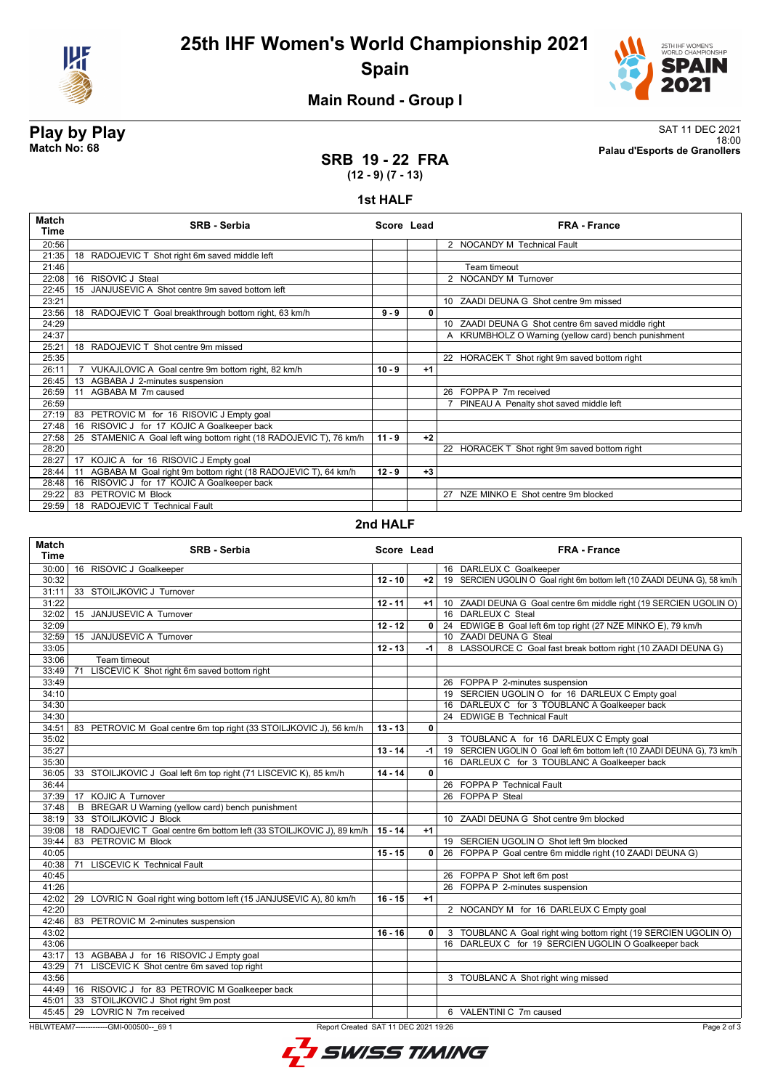

**25th IHF Women's World Championship 2021 Spain**



## **Main Round - Group I**

**Play by Play**<br>Match No: 68<br>Palau d'Esports de Granollers 18:00 **Match No: 68 Palau d'Esports de Granollers**

### **SRB 19 - 22 FRA (12 - 9) (7 - 13)**

#### **1st HALF**

| <b>Match</b><br>Time | <b>SRB - Serbia</b>                                                    | Score Lead |      | <b>FRA - France</b>                                  |
|----------------------|------------------------------------------------------------------------|------------|------|------------------------------------------------------|
| 20:56                |                                                                        |            |      | 2 NOCANDY M Technical Fault                          |
| 21:35                | 18 RADOJEVIC T Shot right 6m saved middle left                         |            |      |                                                      |
| 21:46                |                                                                        |            |      | Team timeout                                         |
| 22:08                | 16 RISOVIC J Steal                                                     |            |      | 2 NOCANDY M Turnover                                 |
| 22:45                | 15<br>JANJUSEVIC A Shot centre 9m saved bottom left                    |            |      |                                                      |
| 23:21                |                                                                        |            |      | 10 ZAADI DEUNA G Shot centre 9m missed               |
| 23:56                | 18 RADOJEVIC T Goal breakthrough bottom right, 63 km/h                 | $9 - 9$    | 0    |                                                      |
| 24:29                |                                                                        |            |      | 10 ZAADI DEUNA G Shot centre 6m saved middle right   |
| 24:37                |                                                                        |            |      | A KRUMBHOLZ O Warning (yellow card) bench punishment |
| 25:21                | 18 RADOJEVIC T Shot centre 9m missed                                   |            |      |                                                      |
| 25:35                |                                                                        |            |      | 22 HORACEK T Shot right 9m saved bottom right        |
| 26:11                | VUKAJLOVIC A Goal centre 9m bottom right, 82 km/h                      | $10 - 9$   | $+1$ |                                                      |
| 26:45                | 13 AGBABA J 2-minutes suspension                                       |            |      |                                                      |
| 26:59                | AGBABA M 7m caused<br>11                                               |            |      | 26 FOPPA P 7m received                               |
| 26:59                |                                                                        |            |      | PINEAU A Penalty shot saved middle left              |
| 27:19                | 83 PETROVIC M for 16 RISOVIC J Empty goal                              |            |      |                                                      |
| 27:48                | 16 RISOVIC J for 17 KOJIC A Goalkeeper back                            |            |      |                                                      |
| 27:58                | STAMENIC A Goal left wing bottom right (18 RADOJEVIC T), 76 km/h<br>25 | $11 - 9$   | $+2$ |                                                      |
| 28:20                |                                                                        |            |      | 22 HORACEK T Shot right 9m saved bottom right        |
| 28:27                | KOJIC A for 16 RISOVIC J Empty goal<br>17                              |            |      |                                                      |
| 28:44                | AGBABA M Goal right 9m bottom right (18 RADOJEVIC T), 64 km/h<br>11    | $12 - 9$   | $+3$ |                                                      |
| 28:48                | RISOVIC J for 17 KOJIC A Goalkeeper back<br>16                         |            |      |                                                      |
| 29:22                | 83 PETROVIC M Block                                                    |            |      | 27 NZE MINKO E Shot centre 9m blocked                |
| 29:59                | 18 RADOJEVIC T Technical Fault                                         |            |      |                                                      |

#### **2nd HALF**

| <b>Match</b><br><b>Time</b> | <b>SRB - Serbia</b>                                                             | Score Lead |              | <b>FRA - France</b>                                                       |
|-----------------------------|---------------------------------------------------------------------------------|------------|--------------|---------------------------------------------------------------------------|
| 30:00                       | 16 RISOVIC J Goalkeeper                                                         |            |              | 16 DARLEUX C Goalkeeper                                                   |
| 30:32                       |                                                                                 | $12 - 10$  | $+2$         | 19 SERCIEN UGOLIN O Goal right 6m bottom left (10 ZAADI DEUNA G), 58 km/h |
| 31:11                       | 33 STOILJKOVIC J Turnover                                                       |            |              |                                                                           |
| 31:22                       |                                                                                 | $12 - 11$  | $+1$         | 10 ZAADI DEUNA G Goal centre 6m middle right (19 SERCIEN UGOLIN O)        |
| 32:02                       | 15 JANJUSEVIC A Turnover                                                        |            |              | 16 DARLEUX C Steal                                                        |
| 32:09                       |                                                                                 | $12 - 12$  | $\Omega$     | 24 EDWIGE B Goal left 6m top right (27 NZE MINKO E), 79 km/h              |
| 32:59                       | 15 JANJUSEVIC A Turnover                                                        |            |              | 10 ZAADI DEUNA G Steal                                                    |
| 33:05                       |                                                                                 | $12 - 13$  | $-1$         | 8 LASSOURCE C Goal fast break bottom right (10 ZAADI DEUNA G)             |
| 33:06                       | Team timeout                                                                    |            |              |                                                                           |
| 33:49                       | LISCEVIC K Shot right 6m saved bottom right<br>71                               |            |              |                                                                           |
| 33:49                       |                                                                                 |            |              | 26 FOPPA P 2-minutes suspension                                           |
| 34:10                       |                                                                                 |            |              | 19 SERCIEN UGOLIN O for 16 DARLEUX C Empty goal                           |
| 34:30                       |                                                                                 |            |              | 16 DARLEUX C for 3 TOUBLANC A Goalkeeper back                             |
| 34:30                       |                                                                                 |            |              | 24 EDWIGE B Technical Fault                                               |
| 34:51                       | 83 PETROVIC M Goal centre 6m top right (33 STOILJKOVIC J), 56 km/h              | $13 - 13$  | 0            |                                                                           |
| 35:02                       |                                                                                 |            |              | 3 TOUBLANC A for 16 DARLEUX C Empty goal                                  |
| 35:27                       |                                                                                 | $13 - 14$  | -1           | 19 SERCIEN UGOLIN O Goal left 6m bottom left (10 ZAADI DEUNA G), 73 km/h  |
| 35:30                       |                                                                                 |            |              | 16 DARLEUX C for 3 TOUBLANC A Goalkeeper back                             |
| 36:05                       | 33 STOILJKOVIC J Goal left 6m top right (71 LISCEVIC K), 85 km/h                | $14 - 14$  | $\mathbf{0}$ |                                                                           |
| 36:44                       |                                                                                 |            |              | 26 FOPPA P Technical Fault                                                |
| 37:39                       | 17 KOJIC A Turnover                                                             |            |              | 26 FOPPA P Steal                                                          |
| 37:48                       | B BREGAR U Warning (yellow card) bench punishment                               |            |              |                                                                           |
| 38:19                       | 33 STOILJKOVIC J Block                                                          |            |              | 10 ZAADI DEUNA G Shot centre 9m blocked                                   |
| 39:08                       | 18 RADOJEVIC T Goal centre 6m bottom left (33 STOILJKOVIC J), 89 km/h           | $15 - 14$  | $+1$         |                                                                           |
| 39:44                       | 83 PETROVIC M Block                                                             |            |              | 19 SERCIEN UGOLIN O Shot left 9m blocked                                  |
| 40:05                       |                                                                                 | $15 - 15$  | $\mathbf{0}$ | 26 FOPPA P Goal centre 6m middle right (10 ZAADI DEUNA G)                 |
| 40:38                       | <b>LISCEVIC K Technical Fault</b><br>71                                         |            |              |                                                                           |
| 40:45                       |                                                                                 |            |              | 26 FOPPA P Shot left 6m post                                              |
| 41:26                       |                                                                                 |            |              | 26 FOPPA P 2-minutes suspension                                           |
| 42:02                       | 29 LOVRIC N Goal right wing bottom left (15 JANJUSEVIC A), 80 km/h              | $16 - 15$  | $+1$         |                                                                           |
| 42:20                       |                                                                                 |            |              | 2 NOCANDY M for 16 DARLEUX C Empty goal                                   |
| 42:46                       | 83 PETROVIC M 2-minutes suspension                                              |            |              |                                                                           |
| 43:02                       |                                                                                 | $16 - 16$  | 0            | 3 TOUBLANC A Goal right wing bottom right (19 SERCIEN UGOLIN O)           |
| 43:06                       |                                                                                 |            |              | 16 DARLEUX C for 19 SERCIEN UGOLIN O Goalkeeper back                      |
| 43:17                       | 13 AGBABA J for 16 RISOVIC J Empty goal                                         |            |              |                                                                           |
| 43:29                       | LISCEVIC K Shot centre 6m saved top right<br>71                                 |            |              |                                                                           |
| 43:56                       |                                                                                 |            |              | 3 TOUBLANC A Shot right wing missed                                       |
|                             | 44:49   16 RISOVIC J for 83 PETROVIC M Goalkeeper back                          |            |              |                                                                           |
| 45:01                       | 33 STOILJKOVIC J Shot right 9m post                                             |            |              |                                                                           |
|                             | 45:45   29 LOVRIC N 7m received                                                 |            |              | 6 VALENTINI C 7m caused                                                   |
|                             | HBLWTEAM7-------------GMI-000500-- 69 1<br>Report Created SAT 11 DEC 2021 19:26 |            |              | Page 2 of 3                                                               |
|                             |                                                                                 |            |              |                                                                           |